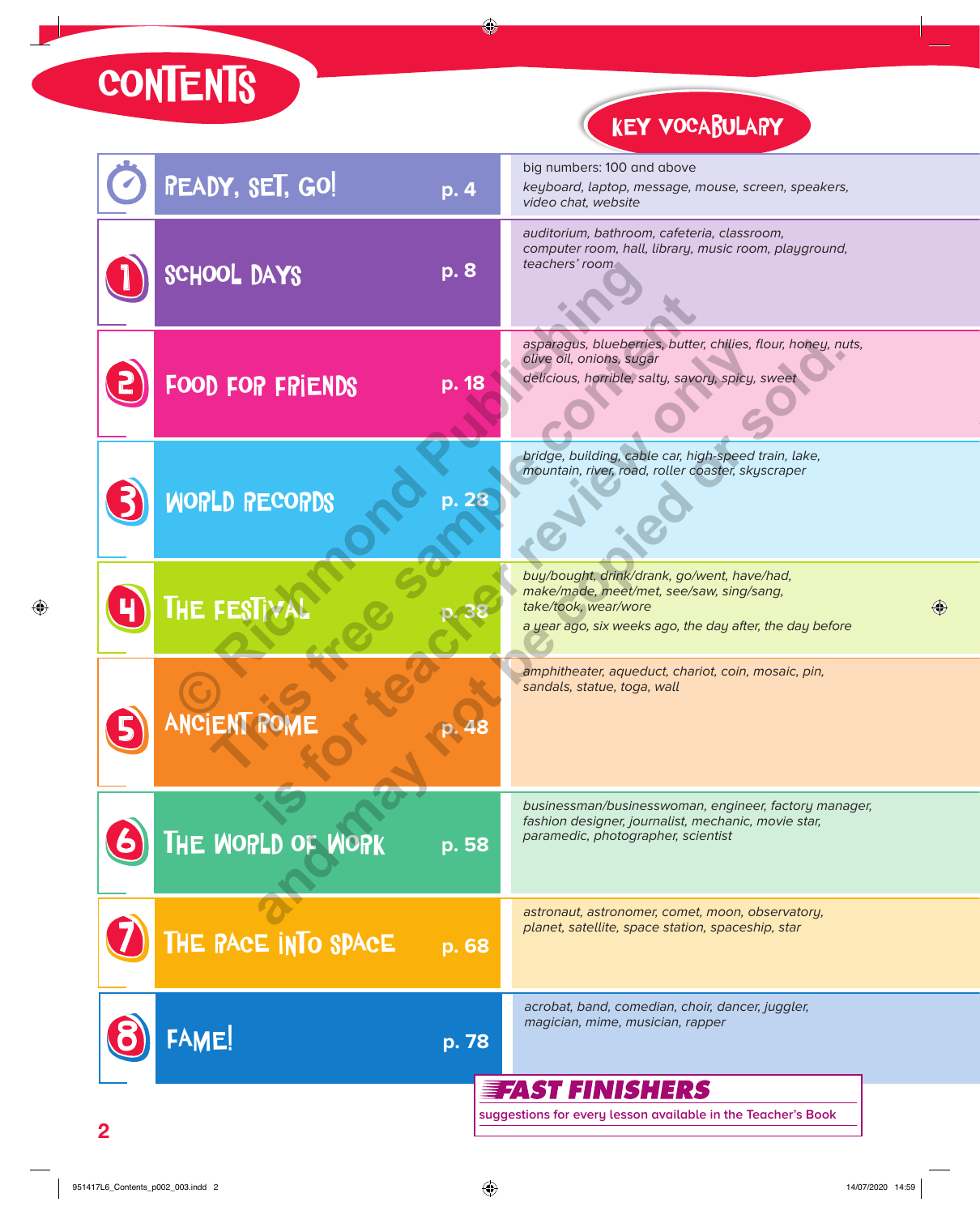**CONTENTS** 

KEY VOCABULARY

| <b>READY, SET, GO!</b>                                       | p. 4  |  | big numbers: 100 and above<br>keyboard, laptop, message, mouse, screen, speakers,<br>video chat, website                                                                    |  |  |
|--------------------------------------------------------------|-------|--|-----------------------------------------------------------------------------------------------------------------------------------------------------------------------------|--|--|
| SCHOOL DAYS                                                  | p. 8  |  | auditorium, bathroom, cafeteria, classroom,<br>computer room, hall, library, music room, playground,<br>teachers' room                                                      |  |  |
| FOOD FOR FRIENDS                                             | p. 18 |  | asparagus, blueberries, butter, chilies, flour, honey, nuts,<br>olive oil, onions, sugar<br>delicious, horrible, salty, savory, spicy, sweet                                |  |  |
| <b>WORLD RECORDS</b>                                         | p. 28 |  | bridge, building, cable car, high-speed train, lake,<br>mountain, river, road, roller coaster, skyscraper                                                                   |  |  |
| <b>THE FESTIVAL</b>                                          |       |  | buy/bought, drink/drank, go/went, have/had,<br>make/made, meet/met, see/saw, sing/sang,<br>take/took, wear/wore<br>a year ago, six weeks ago, the day after, the day before |  |  |
| <b>ANCIENT ROME</b>                                          |       |  | amphitheater, aqueduct, chariot, coin, mosaic, pin,<br>sandals, statue, toga, wall                                                                                          |  |  |
| THE WORLD OF WORK                                            | p. 58 |  | businessman/businesswoman, engineer, factory manager,<br>fashion designer, journalist, mechanic, movie star,<br>paramedic, photographer, scientist                          |  |  |
| THE PACE INTO SPACE                                          | p. 68 |  | astronaut, astronomer, comet, moon, observatory,<br>planet, satellite, space station, spaceship, star                                                                       |  |  |
| FAME!                                                        | p. 78 |  | acrobat, band, comedian, choir, dancer, juggler,<br>magician, mime, musician, rapper                                                                                        |  |  |
| <b>EFAST FINISHERS</b>                                       |       |  |                                                                                                                                                                             |  |  |
| suggestions for every lesson available in the Teacher's Book |       |  |                                                                                                                                                                             |  |  |